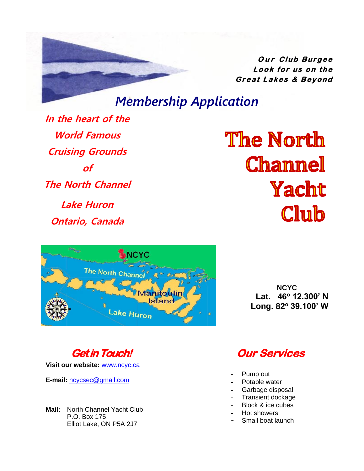**Dur** Club Burgee  $k$ *<b>c*  $k$ *<b>for*  $\mu$ *s*  $\sigma$ *<i>n*  $\tau$ *he* Great Lakes & Beyond

# *Membership Application*

**In the heart of the World Famous Cruising Grounds of The North Channel Lake Huron**

**Ontario, Canada**

**The North Channel** Yacht Club



**NCYC Lat. 46<sup>o</sup> 12.300' N Long. 82<sup>o</sup> 39.100' W**



**Visit our website:** [www.ncyc.ca](http://www.ncyc.ca/)

**E-mail:** [ncycsec@gmail.com](mailto:ncycsecretary@gmail.com)

**Mail:** North Channel Yacht Club P.O. Box 175 Elliot Lake, ON P5A 2J7

# **Our Services**

- **-** Pump out
- **-** Potable water
- **-** Garbage disposal
- **-** Transient dockage
- **-** Block & ice cubes
- **-** Hot showers
- **-** Small boat launch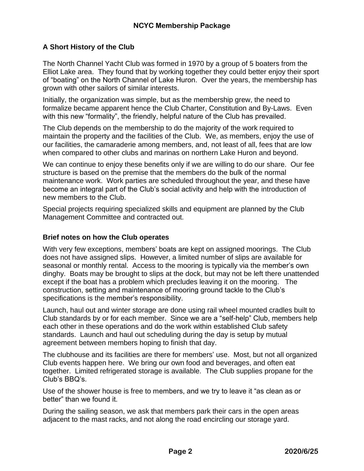### **A Short History of the Club**

The North Channel Yacht Club was formed in 1970 by a group of 5 boaters from the Elliot Lake area. They found that by working together they could better enjoy their sport of "boating" on the North Channel of Lake Huron. Over the years, the membership has grown with other sailors of similar interests.

Initially, the organization was simple, but as the membership grew, the need to formalize became apparent hence the Club Charter, Constitution and By-Laws. Even with this new "formality", the friendly, helpful nature of the Club has prevailed.

The Club depends on the membership to do the majority of the work required to maintain the property and the facilities of the Club. We, as members, enjoy the use of our facilities, the camaraderie among members, and, not least of all, fees that are low when compared to other clubs and marinas on northern Lake Huron and beyond.

We can continue to enjoy these benefits only if we are willing to do our share. Our fee structure is based on the premise that the members do the bulk of the normal maintenance work. Work parties are scheduled throughout the year, and these have become an integral part of the Club's social activity and help with the introduction of new members to the Club.

Special projects requiring specialized skills and equipment are planned by the Club Management Committee and contracted out.

#### **Brief notes on how the Club operates**

With very few exceptions, members' boats are kept on assigned moorings. The Club does not have assigned slips. However, a limited number of slips are available for seasonal or monthly rental. Access to the mooring is typically via the member's own dinghy. Boats may be brought to slips at the dock, but may not be left there unattended except if the boat has a problem which precludes leaving it on the mooring. The construction, setting and maintenance of mooring ground tackle to the Club's specifications is the member's responsibility.

Launch, haul out and winter storage are done using rail wheel mounted cradles built to Club standards by or for each member. Since we are a "self-help" Club, members help each other in these operations and do the work within established Club safety standards. Launch and haul out scheduling during the day is setup by mutual agreement between members hoping to finish that day.

The clubhouse and its facilities are there for members' use. Most, but not all organized Club events happen here. We bring our own food and beverages, and often eat together. Limited refrigerated storage is available. The Club supplies propane for the Club's BBQ's.

Use of the shower house is free to members, and we try to leave it "as clean as or better" than we found it.

During the sailing season, we ask that members park their cars in the open areas adjacent to the mast racks, and not along the road encircling our storage yard.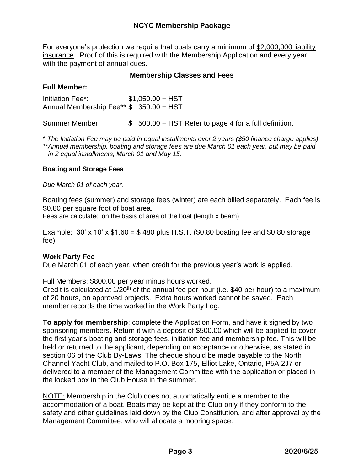For everyone's protection we require that boats carry a minimum of \$2,000,000 liability insurance. Proof of this is required with the Membership Application and every year with the payment of annual dues.

#### **Membership Classes and Fees**

#### **Full Member:**

Initiation Fee\*: \$1,050.00 + HST Annual Membership Fee\*\* \$ 350.00 + HST

Summer Member:  $\frac{1}{2}$  500.00 + HST Refer to page 4 for a full definition.

*\* The Initiation Fee may be paid in equal installments over 2 years (\$50 finance charge applies) \*\*Annual membership, boating and storage fees are due March 01 each year, but may be paid in 2 equal installments, March 01 and May 15.*

#### **Boating and Storage Fees**

*Due March 01 of each year.* 

Boating fees (summer) and storage fees (winter) are each billed separately. Each fee is \$0.80 per square foot of boat area.

Fees are calculated on the basis of area of the boat (length x beam)

Example:  $30'$  x  $10'$  x  $$1.60 = $480$  plus H.S.T. (\$0.80 boating fee and \$0.80 storage fee)

### **Work Party Fee**

Due March 01 of each year, when credit for the previous year's work is applied.

Full Members: \$800.00 per year minus hours worked.

Credit is calculated at  $1/20<sup>th</sup>$  of the annual fee per hour (i.e. \$40 per hour) to a maximum of 20 hours, on approved projects. Extra hours worked cannot be saved. Each member records the time worked in the Work Party Log.

**To apply for membership**: complete the Application Form, and have it signed by two sponsoring members. Return it with a deposit of \$500.00 which will be applied to cover the first year's boating and storage fees, initiation fee and membership fee. This will be held or returned to the applicant, depending on acceptance or otherwise, as stated in section 06 of the Club By-Laws. The cheque should be made payable to the North Channel Yacht Club, and mailed to P.O. Box 175, Elliot Lake, Ontario, P5A 2J7 or delivered to a member of the Management Committee with the application or placed in the locked box in the Club House in the summer.

NOTE: Membership in the Club does not automatically entitle a member to the accommodation of a boat. Boats may be kept at the Club only if they conform to the safety and other guidelines laid down by the Club Constitution, and after approval by the Management Committee, who will allocate a mooring space.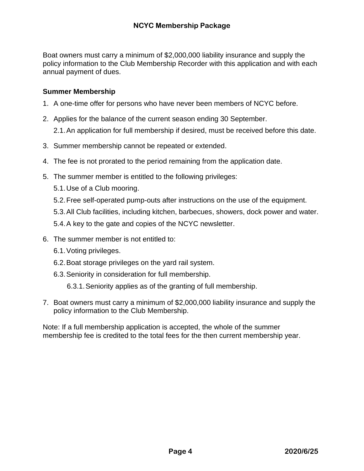Boat owners must carry a minimum of \$2,000,000 liability insurance and supply the policy information to the Club Membership Recorder with this application and with each annual payment of dues.

#### **Summer Membership**

- 1. A one-time offer for persons who have never been members of NCYC before.
- 2. Applies for the balance of the current season ending 30 September.

2.1.An application for full membership if desired, must be received before this date.

- 3. Summer membership cannot be repeated or extended.
- 4. The fee is not prorated to the period remaining from the application date.
- 5. The summer member is entitled to the following privileges:
	- 5.1.Use of a Club mooring.
	- 5.2.Free self-operated pump-outs after instructions on the use of the equipment.
	- 5.3.All Club facilities, including kitchen, barbecues, showers, dock power and water.
	- 5.4.A key to the gate and copies of the NCYC newsletter.
- 6. The summer member is not entitled to:
	- 6.1.Voting privileges.
	- 6.2.Boat storage privileges on the yard rail system.
	- 6.3.Seniority in consideration for full membership.

6.3.1.Seniority applies as of the granting of full membership.

7. Boat owners must carry a minimum of \$2,000,000 liability insurance and supply the policy information to the Club Membership.

Note: If a full membership application is accepted, the whole of the summer membership fee is credited to the total fees for the then current membership year.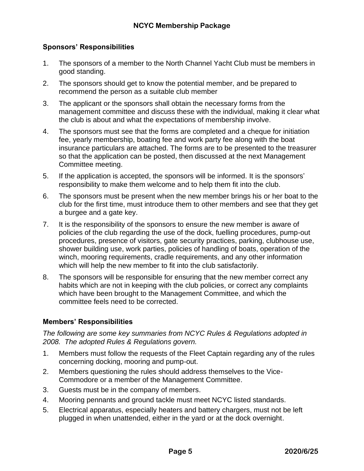#### **Sponsors' Responsibilities**

- 1. The sponsors of a member to the North Channel Yacht Club must be members in good standing.
- 2. The sponsors should get to know the potential member, and be prepared to recommend the person as a suitable club member
- 3. The applicant or the sponsors shall obtain the necessary forms from the management committee and discuss these with the individual, making it clear what the club is about and what the expectations of membership involve.
- 4. The sponsors must see that the forms are completed and a cheque for initiation fee, yearly membership, boating fee and work party fee along with the boat insurance particulars are attached. The forms are to be presented to the treasurer so that the application can be posted, then discussed at the next Management Committee meeting.
- 5. If the application is accepted, the sponsors will be informed. It is the sponsors' responsibility to make them welcome and to help them fit into the club.
- 6. The sponsors must be present when the new member brings his or her boat to the club for the first time, must introduce them to other members and see that they get a burgee and a gate key.
- 7. It is the responsibility of the sponsors to ensure the new member is aware of policies of the club regarding the use of the dock, fuelling procedures, pump-out procedures, presence of visitors, gate security practices, parking, clubhouse use, shower building use, work parties, policies of handling of boats, operation of the winch, mooring requirements, cradle requirements, and any other information which will help the new member to fit into the club satisfactorily.
- 8. The sponsors will be responsible for ensuring that the new member correct any habits which are not in keeping with the club policies, or correct any complaints which have been brought to the Management Committee, and which the committee feels need to be corrected.

#### **Members' Responsibilities**

*The following are some key summaries from NCYC Rules & Regulations adopted in 2008. The adopted Rules & Regulations govern.*

- 1. Members must follow the requests of the Fleet Captain regarding any of the rules concerning docking, mooring and pump-out.
- 2. Members questioning the rules should address themselves to the Vice-Commodore or a member of the Management Committee.
- 3. Guests must be in the company of members.
- 4. Mooring pennants and ground tackle must meet NCYC listed standards.
- 5. Electrical apparatus, especially heaters and battery chargers, must not be left plugged in when unattended, either in the yard or at the dock overnight.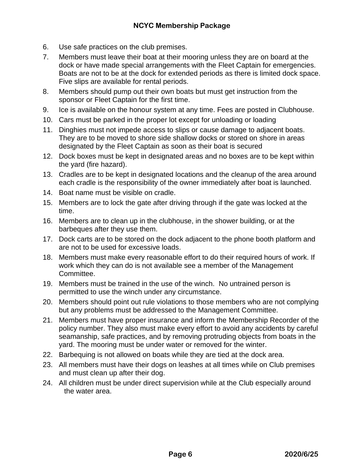- 6. Use safe practices on the club premises.
- 7. Members must leave their boat at their mooring unless they are on board at the dock or have made special arrangements with the Fleet Captain for emergencies. Boats are not to be at the dock for extended periods as there is limited dock space. Five slips are available for rental periods.
- 8. Members should pump out their own boats but must get instruction from the sponsor or Fleet Captain for the first time.
- 9. Ice is available on the honour system at any time. Fees are posted in Clubhouse.
- 10. Cars must be parked in the proper lot except for unloading or loading
- 11. Dinghies must not impede access to slips or cause damage to adjacent boats. They are to be moved to shore side shallow docks or stored on shore in areas designated by the Fleet Captain as soon as their boat is secured
- 12. Dock boxes must be kept in designated areas and no boxes are to be kept within the yard (fire hazard).
- 13. Cradles are to be kept in designated locations and the cleanup of the area around each cradle is the responsibility of the owner immediately after boat is launched.
- 14. Boat name must be visible on cradle.
- 15. Members are to lock the gate after driving through if the gate was locked at the time.
- 16. Members are to clean up in the clubhouse, in the shower building, or at the barbeques after they use them.
- 17. Dock carts are to be stored on the dock adjacent to the phone booth platform and are not to be used for excessive loads.
- 18. Members must make every reasonable effort to do their required hours of work. If work which they can do is not available see a member of the Management Committee.
- 19. Members must be trained in the use of the winch. No untrained person is permitted to use the winch under any circumstance.
- 20. Members should point out rule violations to those members who are not complying but any problems must be addressed to the Management Committee.
- 21. Members must have proper insurance and inform the Membership Recorder of the policy number. They also must make every effort to avoid any accidents by careful seamanship, safe practices, and by removing protruding objects from boats in the yard. The mooring must be under water or removed for the winter.
- 22. Barbequing is not allowed on boats while they are tied at the dock area.
- 23. All members must have their dogs on leashes at all times while on Club premises and must clean up after their dog.
- 24. All children must be under direct supervision while at the Club especially around the water area.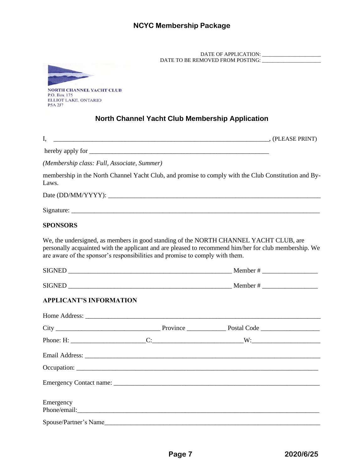DATE OF APPLICATION: \_\_\_\_\_\_\_\_\_\_\_\_\_\_\_\_\_\_\_\_\_\_ DATE TO BE REMOVED FROM POSTING: \_\_\_\_\_\_\_\_\_\_\_\_\_\_\_\_\_\_\_\_\_\_



### **North Channel Yacht Club Membership Application**

I, \_\_\_\_\_\_\_\_\_\_\_\_\_\_\_\_\_\_\_\_\_\_\_\_\_\_\_\_\_\_\_\_\_\_\_\_\_\_\_\_\_\_\_\_\_\_\_\_\_\_\_\_\_\_\_\_\_\_\_\_\_\_\_\_\_\_, (PLEASE PRINT)

hereby apply for

*(Membership class: Full, Associate, Summer)*

membership in the North Channel Yacht Club, and promise to comply with the Club Constitution and By-Laws.

Date (DD/MM/YYYY): \_\_\_\_\_\_\_\_\_\_\_\_\_\_\_\_\_\_\_\_\_\_\_\_\_\_\_\_\_\_\_\_\_\_\_\_\_\_\_\_\_\_\_\_\_\_\_\_\_\_\_\_\_\_\_\_\_\_\_\_\_\_\_\_\_

 $Signature:$ 

#### **SPONSORS**

We, the undersigned, as members in good standing of the NORTH CHANNEL YACHT CLUB, are personally acquainted with the applicant and are pleased to recommend him/her for club membership. We are aware of the sponsor's responsibilities and promise to comply with them.

| <b>APPLICANT'S INFORMATION</b> |  |  |
|--------------------------------|--|--|
|                                |  |  |
|                                |  |  |
|                                |  |  |
|                                |  |  |
|                                |  |  |
|                                |  |  |

| Emergency             |  |  |
|-----------------------|--|--|
| Phone/email:          |  |  |
| Spouse/Partner's Name |  |  |